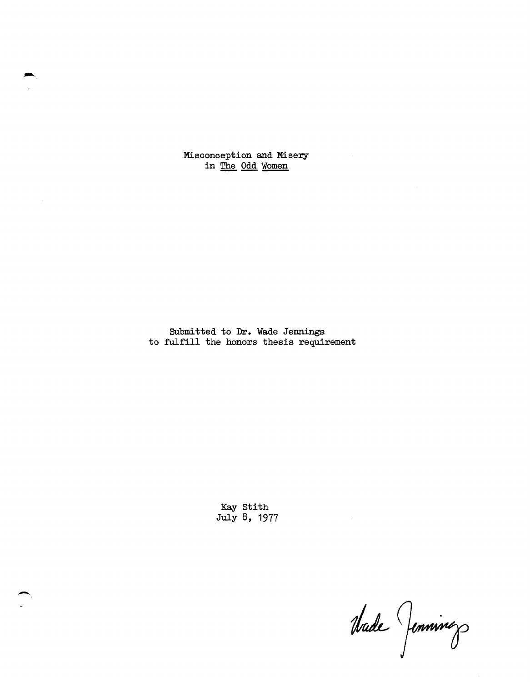Misconception and Misery in The Odd Women

Submi tted to Dr. Wade Jennings to fulfill the honors thesis requirement

> Kay Stith July 8, 1977

--

Made Jennings

 $\bar{z}$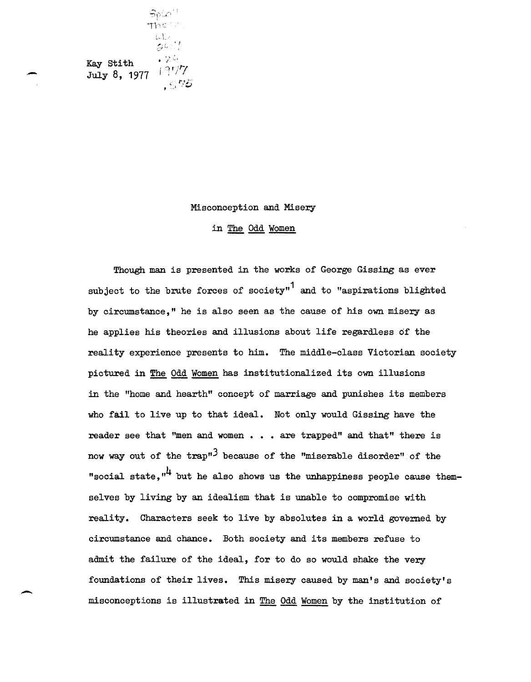$\mathfrak{S}_0 \langle \mathfrak{g} \rangle$ The  $\leq$  $\int_{\mathbb{R}^{n}}\int_{\mathbb{R}^{n}}\rho$  $e^{i \cdot t}$  $\bullet$  2.4 Kay stith July 8, 1977 1977 ,  $\lesssim$  76

-

-

## Misconception and Misery

in The Odd Women

Though man is presented in the works of George Gissing as ever subject to the brute forces of society"<sup>1</sup> and to "aspirations blighted by circumstance," he is also seen as the cause of his own misery as he applies his theories and illusions about life regardless of the reality experience presents to him. The middle-class Victorian society pictured in The Odd Women has institutionalized its own illusions in the "home and hearth" concept of marriage and punishes its members who fail to live up to that ideal. Not only would Gissing have the reader see that "men and women . . . are trapped" and that" there is now way out of the  $trap''$ <sup>3</sup> because of the "miserable disorder" of the "social state, $''^{4}$  but he also shows us the unhappiness people cause themselves by living by an idealism that is unable to compromise with reality. Characters seek to live by absolutes in a world governed by circumstance and chance. Both society and its members refuse to admit the failure of the ideal, for to do so would shake the very foundations of their lives. This misery caused by man's and society's misconceptions is illustrated in The Odd Women by the institution of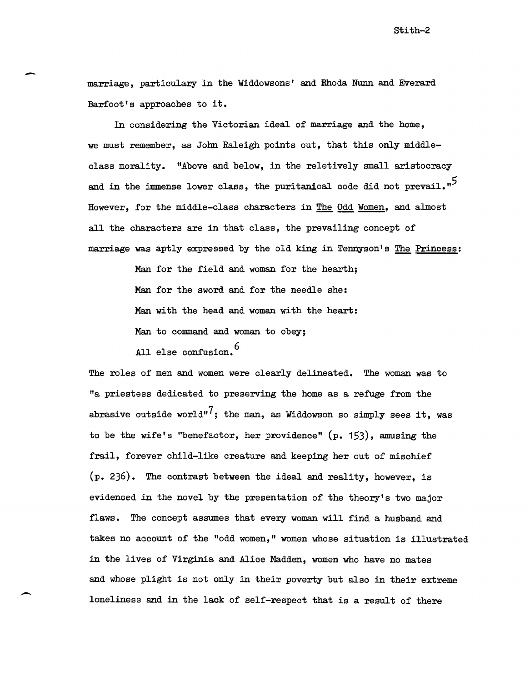marriage, particulary in the Widdowsons' and Rhoda Nunn and Everard Barfoot's approaches to it.

-

-

In considering the Victorian ideal of marriage and the home, we must remember, as John Raleigh points out, that this only middleclass morality. "Above and below, in the reletively small aristocracy and in the immense lower class, the puritanical code did not prevail. $n^5$ However, for the middle-class characters in The Odd Women, and almost all the characters are in that class, the prevailing concept of marriage was aptly expressed by the old king in Tennyson's The Princess:

> Man for the field and woman for the hearth; Man for the sword and for the needle she: Man with the head and woman with the heart: Man to command and woman to obey; All else confusion.<sup>6</sup>

The roles of men and women were clearly delineated. The woman was to "a priestess dedicated to preserving the home as a refuge from the abrasive outside world"<sup>7</sup>; the man, as Widdowson so simply sees it, was to be the wife's "benefactor, her providence" (p. 153), amusing the frail, forever child-like creature and keeping her out of mischief (p. 236). The contrast between the ideal and reality, however, is evidenced in the novel by the presentation of the theory's two major flaws. The concept assumes that every woman will find a husband and takes no account of the "odd women," women whose situation is illustrated in the lives of Virginia and Alice Madden, women who have no mates and whose plight is not only in their poverty but also in their extreme loneliness and in the lack of self-respect that is a result of there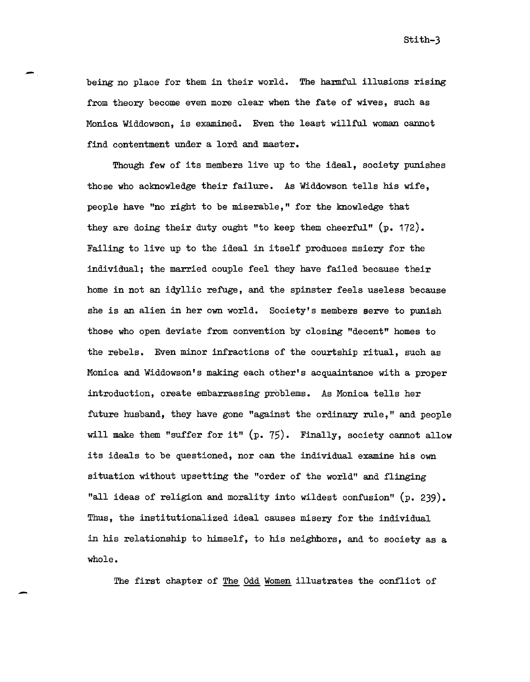being no place for them in their world. The harmful illusions rising from theory become even more clear when the fate of wives, such as Monica Widdowson, is examined. Even the least willful woman cannot find contentment under a lord and master.

-

-

Though few of its members live up to the ideal, society punishes those who acknowledge their failure. As Widdowson tells his wife, people have "no right to be miserable," for the knowledge that they are doing their duty ought "to keep them cheerful" (p. 172). Failing to live up to the ideal in itself produces msiery for the individual; the married couple feel they have failed because their home in not an idyllic refuge, and the spinster feels useless because she is an alien in her own world. Society's members serve to punish those who open deviate from convention by closing "decent" homes to the rebels. Even minor infractions of the courtship ritual, such as Monica and Widdowson's making each other's acquaintance with a proper introduction, create embarrassing problems. As Monica tells her future husband, they have gone "against the ordinary rule," and people will make them "suffer for it" (p. 75). Finally, society cannot allow its ideals to be questioned, nor can the individual examine his own si tuation without upsetting the "order of the world" and flinging "all ideas of religion and morality into wildest confusion" (p. 239). Thus, the institutionalized ideal causes misery for the individual in his relationship to himself, to his neighbors, and to society as a whole.

The first chapter of The Odd Women illustrates the conflict of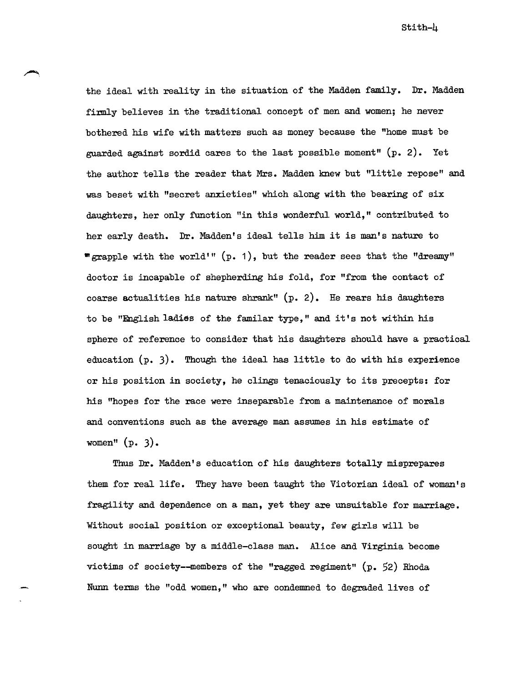stith-4

the ideal with reality in the situation of the Madden family. Dr. Madden firmly believes in the traditional concept of men and women; he never bothered his wife with matters such as money because the "home must be guarded against sordid cares to the last possible moment" (p. 2). Yet the author tells the reader that Mrs. Madden knew but "little repose" and was beset with "secret anxieties" which along with the bearing of six daughters, her only function "in this wonderful world," contributed to her early death. Dr. Madden's ideal tells him it is man's nature to " grapple with the world'"  $(p. 1)$ , but the reader sees that the "dreamy" doctor is incapable of shepherding his fold, for "from the contact of coarse actualities his nature shrank"  $(p. 2)$ . He rears his daughters to be "English ladies of the familar type," and it's not wi thin his sphere of reference to consider that his daughters should have a practical education  $(p, 3)$ . Though the ideal has little to do with his experience or his position in society, he clings tenaciously to its precepts: for his "hopes for the race were inseparable from a maintenance of morals and conventions such as the average man assumes in his estimate of women" (p. 3).

Thus Dr. Madden's education of his daughters totally misprepares them for real life. They have been taught the Victorian ideal of woman's fragility and dependence on a man, yet they are unsuitable for marriage. Without social position or exceptional beauty, few girls will be sought in marriage by a middle-class man. Alice and Virginia become victims of society--members of the "ragged regiment"  $(p. 52)$  Rhoda Num terms the "odd women," who are condemned to degraded lives of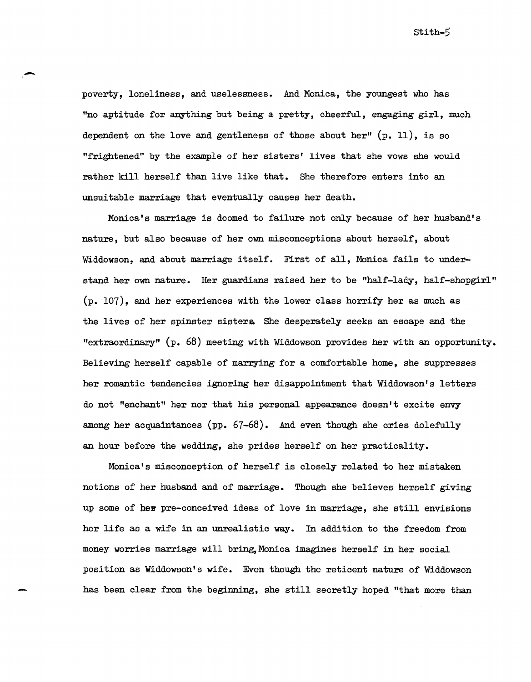poverty, loneliness, and uselessness. And Monica, the youngest who has "no aptitude for anything but being a pretty, cheerful, engaging girl, much dependent on the love and gentleness of those about her"  $(p. 11)$ , is so "frightened" by the example of her sisters' lives that she vows she would rather kill herself than live like that. She therefore enters into an unsuitable marriage that eventually causes her death.

-

MOnica's marriage is doomed to failure not only because of her husband's nature, but also because of her own misconceptions about herself, about Widdowson, and about marriage itself. First of all, Monica fails to understand her own nature. Her guardians raised her to be "half-lady, half-shopgirl" (p. 107), and her experiences with the lower class horrify her as much as the lives of her spinster sistera She desperately seeks an escape and the "extraordinary" (p. 68) meeting with Widdowson provides her with an opportunity. Believing herself capable of marrying for a comfortable home, she suppresses her romantic tendencies ignoring her disappointment that Widdowson's letters do not "enchant" her nor that his personal appearance doesn't excite envy among her acquaintances (pp. 67-68). And even though she cries dolefully an hour before the wedding, she prides herself on her practicality.

MOnica's misconception of herself is closely related to her mistaken notions of her husband and of marriage. Though she believes herself giving up some of her pre-conceived ideas of love in marriage, she still envisions her life as a wife in an unrealistic way. In addition to the freedom from money worries marriage will bring,MOnica imagines herself in her social position as Widdowson's wife. Even though the reticent nature of Widdowson has been clear from the beginning, she still secretly hoped "that more than

Stith-5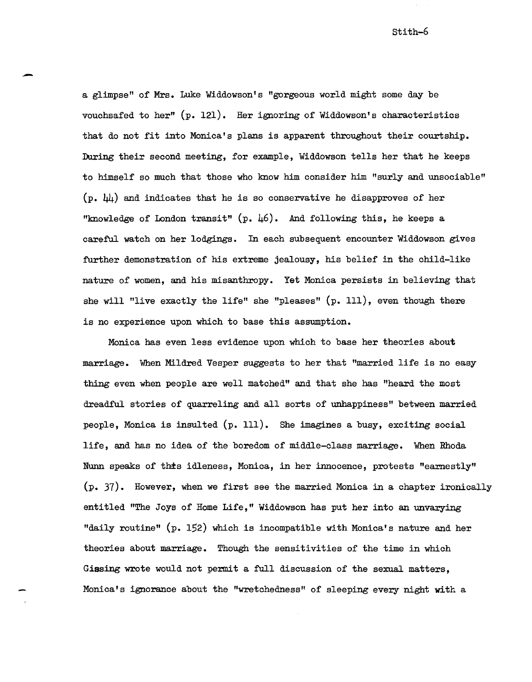a glimpse" of Mrs. Luke Widdowson's "gorgeous world might some day be vouchsafed to her" (p. 121). Her ignoring of Widdowson's characteristics that do not fit into Monica's plans is apparent throughout their courtship. During their second meeting, for example, Widdowson tells her that he keeps to himself so much that those who know him consider him "surly and unsociable"  $(p. \; \mu)$  and indicates that he is so conservative he disapproves of her "knowledge of London transit"  $(p, 46)$ . And following this, he keeps a careful watch on her lodgings. In each subsequent encounter Widdowson gives further demonstration of his extreme jealousy, his belief in the child-like nature of women, and his misanthropy. Yet Monica persists in believing that she will "live exactly the life" she "pleases" (p. Ill), even though there is no experience upon which to base this assumption.

-

MOnica has even less evidence upon which to base her theories about marriage. When Mildred Vesper suggests to her that "married life is no easy thing even when people are well matched" and that she has "heard the most dreadful stories of quarreling and all sorts of unhappiness" between married people, Monica is insulted  $(p. 111)$ . She imagines a busy, exciting social life, and has no idea of the boredom of middle-class marriage. When Rhoda Nunn speaks of thts idleness, MOnica, in her innocence, protests "earnestly" (p. 37). However, when we first see the married Monica in a chapter ironically entitled "The Joys of Home Life," Widdowson has put her into an unvarying "daily routine" (p. 152) which is incompatible with Monica's nature and her theories about marriage. Though the sensitivities of the time in which Gissing wrote would not permit a full discussion of the sexual matters, Monica's ignorance about the "wretchedness" of sleeping every night with a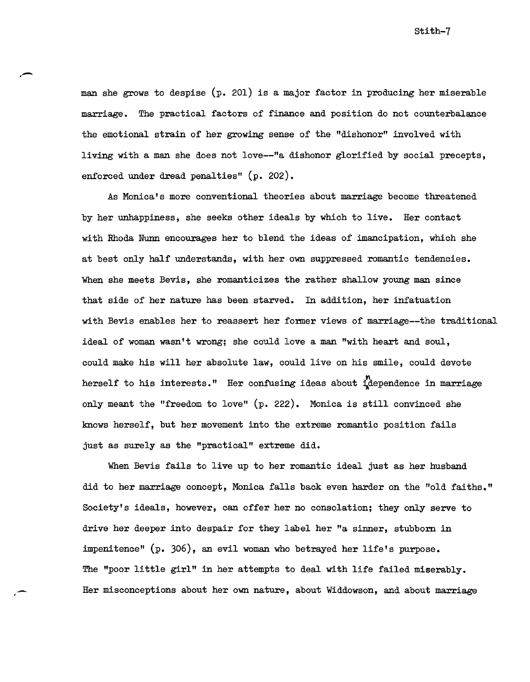man she grows to despise (p. 201) is a major factor in producing her miserable marriage. The practical factors of finance and position do not counterbalance the emotional strain of her growing sense of the "dishonor" involved with living with a man she does not love--"a dishonor glorified by social precepts, enforced under dread penalties" (p. 202).

As Monica's more conventional theories about marriage become threatened by her unhappiness, she seeks other ideals by which to live. Her contact with Rhoda Nunn encourages her to blend the ideas of imancipation, which she at best only half understands, with her own suppressed romantic tendencies. When she meets Bevis, she romanticizes the rather shallow young man since that side of her nature has been starved. In addition, her infatuation with Bevis enables her to reassert her former views of marriage--the traditional ideal of woman wasn't wrong; she could love a man "with heart and soul, could make his will her absolute law, could live on his smile, could devote herself to his interests." Her confusing ideas about  $\mathbf{i}_k^{\prime}$  dependence in marriage only meant the "freedom to love" (p. 222). Monica is still convinced she knows herself, but her movement into the extreme romantic position fails just as surely as the "practical" extreme did.

When Bevis fails to live up to her romantic ideal just as her husband did to her marriage concept, Monica falls back even harder on the "old faiths." Society's ideals, however, can offer her no consolation; they only serve to drive her deeper into despair for they label her "a sinner, stubborn in impenitence" (p. 306), an evil woman who betrayed her life's purpose. The "poor little girl" in her attempts to deal with life failed miserably. Her misconceptions about her own nature, about Widdowson, and about marriage

.- ,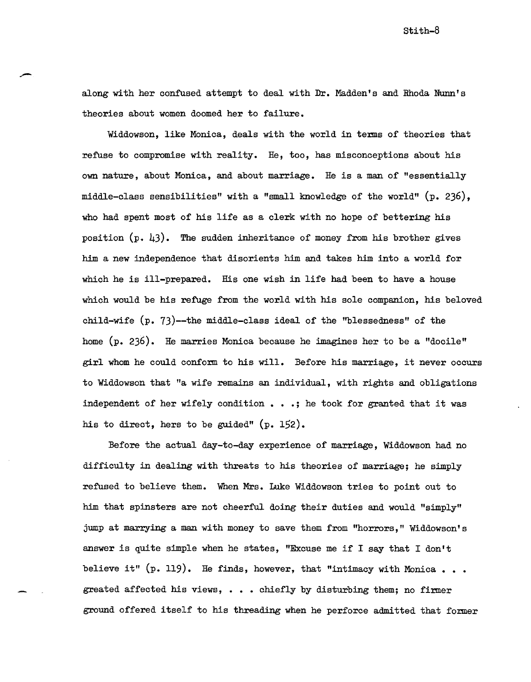stith-B

along with her confused attempt to deal with Dr. Madden's and Rhoda Nunn' s theories about women doomed her to failure.

Widdowson, like Monica, deals with the world in terms of theories that refuse to compromise with reality. He, too, has misconceptions about his own nature, about MOnica, and about marriage. He is a man of "essentially middle-class sensibilities" with a "small knowledge of the world" (p. 236), who had spent most of his life as a clerk with no hope of bettering his position  $(p. 43)$ . The sudden inheritance of money from his brother gives him a new independence that disorients him and takes him into a world for which he is ill-prepared. His one wish in life had been to have a house which would be his refuge from the world with his sole companion, his beloved child-wife (p. 73)--the middle-class ideal of the "blessedness" of the home (p. 236). He marries Monica because he imagines her to be a "docile" girl whom he could conform to his will. Before his marriage, it never occurs to Widdowson that "a wife remains an individual, with rights and obligations independent of her wifely condition . . .; he took for granted that it was his to direct, hers to be guided" (p. 152).

Before the actual day-to-day experience of marriage, Widdowson had no difficulty in dealing with threats to his theories of marriage; he simply refused to believe them. When Mrs. Luke Widdowson tries to point out to him that spinsters are not cheerful doing their duties and would "simply" jump at marrying a man with money to save them from "horrors," Widdowson's answer is quite simple when he states, "Excuse me if I say that I don't believe it"  $(p. 119)$ . He finds, however, that "intimacy with Monica... greated affected his views,  $\ldots$  chiefly by disturbing them; no firmer ground offered itself to his threading when he perforce admitted that former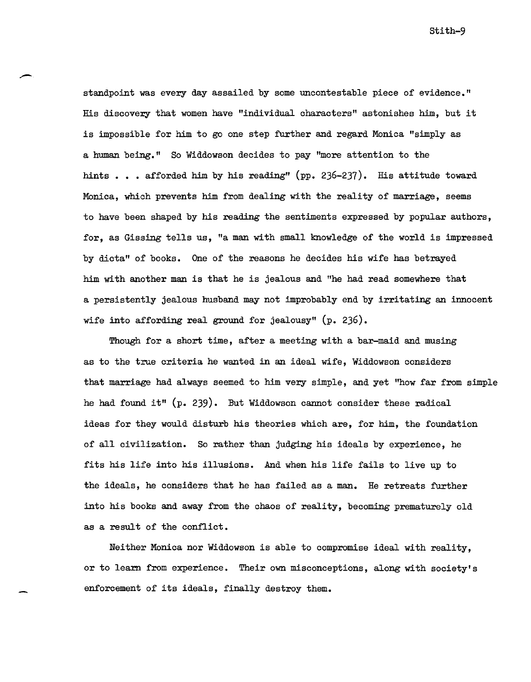standpoint was every day assailed by some uncontestable piece of evidence." His discovery that women have "individual characters" astonishes him, but it is impossible for him to go one step further and regard Monica "simply as a human being." So Widdowson decides to pay "more attention to the hints  $\ldots$  afforded him by his reading" (pp. 236-237). His attitude toward Monica, which prevents him from dealing with the reality of marriage, seems to have been shaped by his reading the sentiments expressed by popular authors, for, as Gissing tells us, "a man with small knowledge of the world is impressed by dicta" of books. One of the reasons he decides his wife has betrayed him with another man is that he is jealous and "he had read somewhere that a persistently jealous husband may not improbably end by irritating an innocent wife into affording real ground for jealousy" (p. 236).

Though for a short time, after a meeting with a bar-maid and musing as to the true criteria he wanted in an ideal wife, Widdowson considers that marriage had always seemed to him very simple, and yet "how far from simple he had found it"  $(p. 239)$ . But Widdowson cannot consider these radical ideas for they would disturb his theories which are, for him, the foundation of all civilization. So rather than judging his ideals by experience, he fits his life into his illusions. And when his life fails to live up to the ideals, he considers that he has failed as a man. He retreats further into his books and away from the chaos of reality, becoming prematurely old as a result of the conflict.

Neither Monica nor Widdowson is able to compromise ideal with reality, or to learn from experience. Their own misconceptions, along with society's enforcement of its ideals, finally destroy them.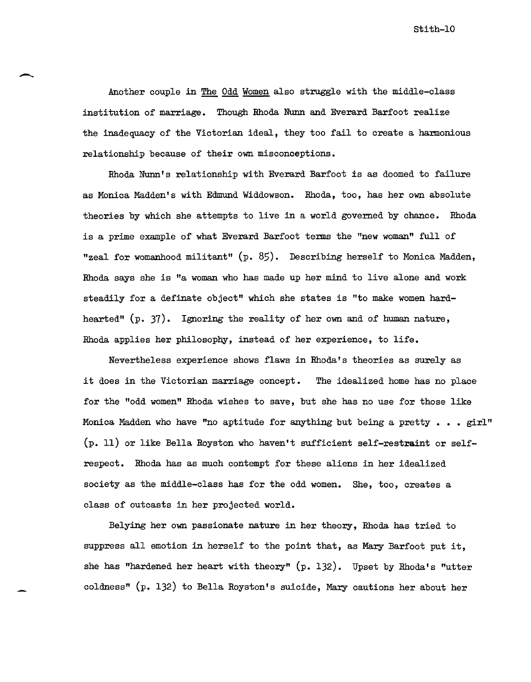stith-IO

Another couple in The Odd Women also struggle with the middle-class insti tution of marriage. Though Rhoda Nunn and Everard Barfoot realize the inadequacy of the Victorian ideal, they too fail to create a harmonious relationship because of their own misconceptions.

Rhoda Nunn's relationship with Everard Barfoot is as doomed to failure as Monica Madden's with Edmund Widdowson. Rhoda, too, has her own absolute theories by which she attempts to live in a world governed by chance. Rhoda *is* a prime example of what Everard Barfoot terms the "new woman" full of "zeal for womanhood militant" (p. 85). Describing herself to Monica Madden, Rhoda says she is "a woman who has made up her mind to live alone and work steadily for a definate object" which she states *is* "to make women hardhearted" (p. 37). Ignoring the reality of her own and of human nature, Rhoda applies her philosophy, instead of her experience, to life.

Nevertheless experience shows flaws *in* Rhoda's theories as surely as *it* does *in* the Victorian marriage concept. The idealized home has no place for the "odd women" Rhoda wishes to save, but she has no use for those like Monica Madden who have "no aptitude for anything but being a pretty  $\ldots$ , girl" (p. 11) or like Bella Royston who haven't sufficient self-restraint or selfrespect. Rhoda has as much contempt for these aliens in her idealized society as the middle-class has for the odd women. She, too, creates a class of outcasts in her projected world.

Belying her own passionate nature in her theory, Rhoda has tried to suppress all *emotion in* herself to the point that, as Mary Barfoot put it, she has "hardened her heart with theory" (p. 132). Upset by Rhoda's "utter coldness" (p. 132) to Bella Royston's suicide, Mary cautions her about her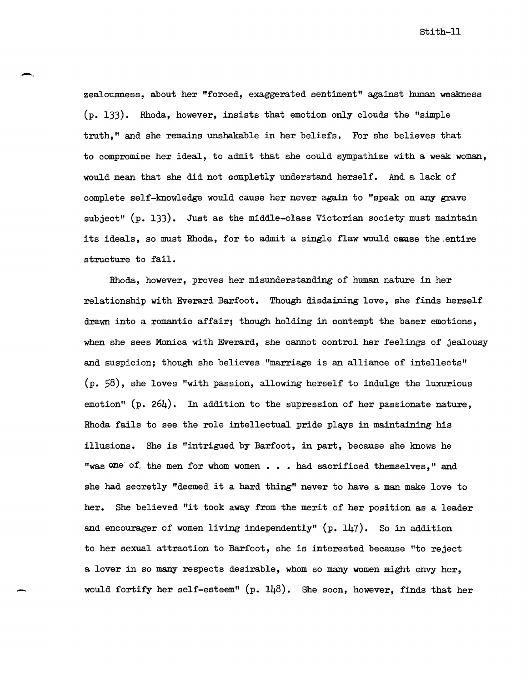stith-II

zealousness, about her "forced, exaggerated sentiment" against human weakness (p. 133). Rhoda, however, insists that emotion only clouds the "simple truth," and she remains unshakable in her beliefs. For she believes that to compromise her ideal, to admit that she could sympathize with a weak woman, would mean that she did not completly understand herself. And a lack of complete self-knowledge would cause her never again to "speak on any grave subject" (p. 133). Just as the middle-class Victorian society must maintain its ideals, so must Rhoda, for to admit a single flaw would cause the .entire structure to fail.

Rhoda, however, proves her misunderstanding of human nature in her relationship with Everard Barfoot. Though disdaining love, she finds herself drawn into a romantic affair; though holding in contempt the baser emotions, when she sees Monica with Everard, she cannot control her feelings of jealousy and suspicion; though she believes "marriage is an alliance of intellects"  $(p. 58)$ , she loves "with passion, allowing herself to indulge the luxurious emotion"  $(p. 264)$ . In addition to the supression of her passionate nature, Rhoda fails to see the role intellectual pride plays in maintaining his illusions. She is "intrigued by Barfoot, in part, because she knows he "was one of the men for whom women . . . had sacrificed themselves," and she had secretly "deemed ita hard thing" never to have a man make love to her. She believed "it took away from the merit of her position as a leader and encourager of women living independently"  $(p. 147)$ . So in addition to her sexual attraction to Barfoot, she is interested because "to reject a lover in so many respects desirable, whom so many women might envy her, would fortify her self-esteem"  $(p. 148)$ . She soon, however, finds that her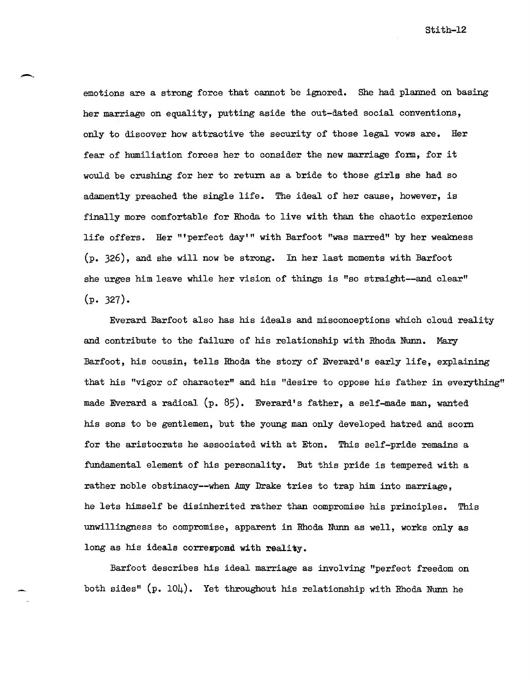emotions are a strong force that cannot be ignored. She had planned on basing her marriage on equality, putting aside the out-dated social conventions, only to discover how attractive the security of those legal vows are. Her fear of humiliation forces her to consider the new marriage form, for it would be crushing for her to return as a bride to those girls she had so adamently preached the single life. The ideal of her cause, however, is finally more comfortable for Rhoda to live with than the chaotic experience life offers. Her "'perfect day'" with Barfoot "was marred" by her weakness (p. 326), and she will now be strong. In her last moments with Barfoot she urges him leave while her vision of things is "so straight--and clear"  $(p. 327).$ 

Everard Barfoot also has his ideals and misconceptions which cloud reality and contribute to the failure of his relationship with Rhoda Nunn. Mary Barfoot, his cousin, tells Rhoda the story of Everard's early life, explaining that his "vigor of character" and his "desire to oppose his father in everything" made Everard a radical (p. 85). Everard's father, a self-made man, wanted his sons to be gentlemen, but the young man only developed hatred and scorn for the aristocrats he associated with at Eton. This self-pride remains a fundamental element of his personality. But this pride is tempered with a rather noble obstinacy--when Amy Drake tries to trap him into marriage, he lets himself be disinherited rather than compromise his principles. This unwillingness to compromise, apparent in Rhoda Nunn as well, works only as long as his ideals correspond with reality.

Barfoot describes his ideal marriage as involving "perfect freedom on both sides"  $(p. 104)$ . Yet throughout his relationship with Rhoda Nunn he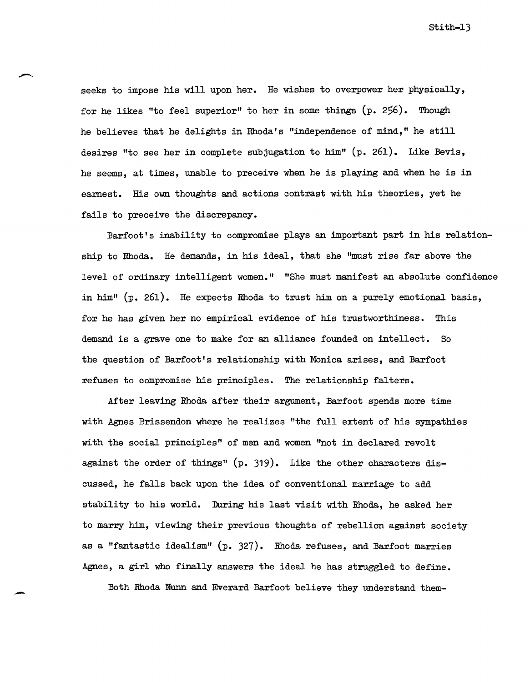seeks to impose his will upon her. He wishes to overpower her physically, for he likes "to feel superior" to her in some things  $(p. 256)$ . Though he believes that he delights in Rhoda's "independence of mind," he still desires "to see her in complete subjugation to him" (p. 261). Like Bevis, he seems, at times, unable to preceive when he is playing and when he is in earnest. His own thoughts and actions contrast with his theories, yet he fails to preceive the discrepancy.

Barfoot's inability to compromise plays an important part in his relationship to Rhoda. He demands, in his ideal, that she "must rise far above the level of ordinary intelligent women." "She must manifest an absolute confidence in him" (p. 261). He expects Rhoda to trust him on a purely emotional basis, for he has given her no empirical evidence of his trustworthiness. This demand is a grave one to make for an alliance founded on intellect. So the question of Barfoot's relationship with MOnica arises, and Barfoot refuses to compromise his principles. The relationship falters.

After leaving Rhoda after their argument, Barfoot spends more time wi th Agnes Brissendon where he realizes "the full extent of his sympathies with the social principles" of men and women "not in declared revolt against the order of things"  $(p. 319)$ . Like the other characters discussed, he falls back upon the idea of conventional marriage to add stability to his world. During his last visit with Rhoda, he asked her to marry him, viewing their previous thoughts of rebellion against society as a "fantastic idealism" (p. 327). Rhoda refuses, and Barfoot marries Agnes, a girl who finally answers the ideal he has struggled to define.

Both Rhoda Nunn and Everard Barfoot believe they understand them-

-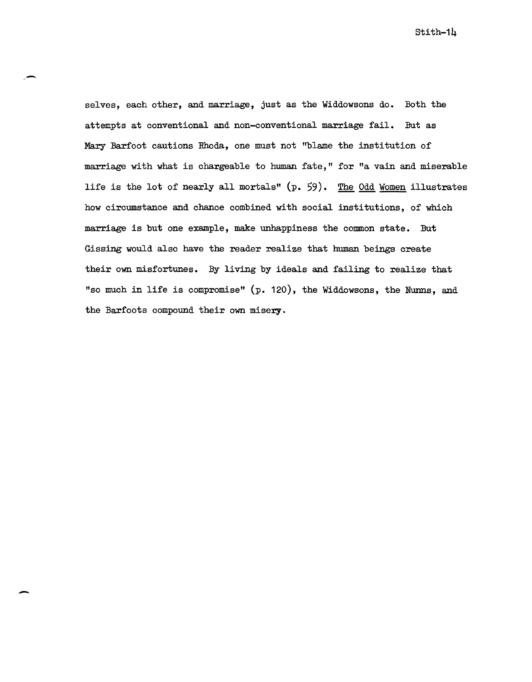selves, each other, and marriage, just as the Widdowsons do. Both the attempts at conventional and non-conventional marriage fail. But as Mary Barfoot cautions Rhoda, one must not "blame the institution of marriage with what is chargeable to human fate," for "a vain and miserable life is the lot of nearly all mortals" (p. 59). The Odd Women illustrates how circumstance and chance combined with social institutions, of which marriage is but one example, make unhappiness the common state. But Gissing would also have the reader realize that human beings create their own misfortunes. By living by ideals and failing to realize that "so much in life is compromise" (p. 120), the Widdowsons, the Nunns, and the Barfoots compound their own misery.

.-

-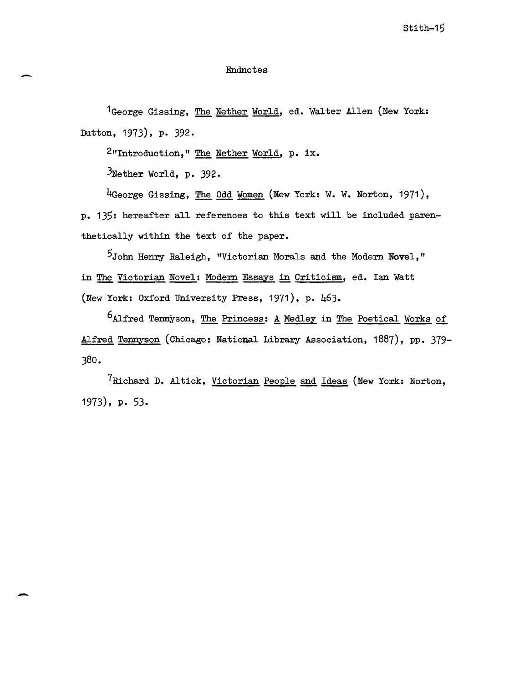## Endnotes

<sup>1</sup>George Gissing, The Nether World, ed. Walter Allen (New York: Dutton, 1973), p. 392.

2 "Introduction, " The Nether World, p. ix.

 $3$ Nether World, p. 392.

-

-

4George Gissing, The Odd Women (New York: W. W. Norton, 1971), p. 135: hereafter all references to this text will be included parenthetically within the text of the paper.

5John Henry Raleigh, "Victorian Morals and the Modern Novel," in The Victorian Novel: Modern Essays in Criticism, ed. Ian Watt (New York: Oxford University Press, 1971), p. 463.

 $6$ Alfred Tennyson, The Princess: A Medley in The Poetical Works of Alfred Tennyson (Chicago: National Library Association, 1887), pp. 379-380.

7Richard D. Altick, Victorian People and Ideas (New York: Norton, 1973), p. 53.